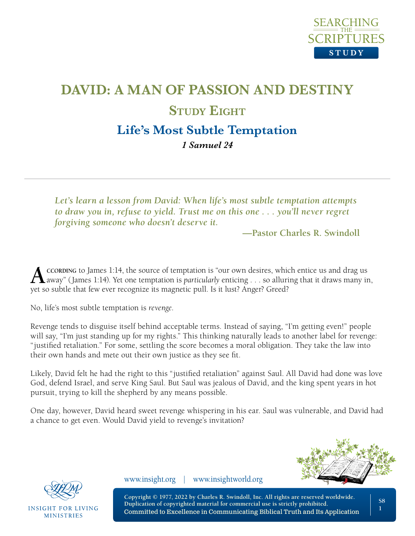

# **DAVID: A MAN OF PASSION AND DESTINY STUDY EIGHT Life's Most Subtle Temptation**

*1 Samuel 24* 

*Let's learn a lesson from David: When life's most subtle temptation attempts to draw you in, refuse to yield. Trust me on this one . . . you'll never regret forgiving someone who doesn't deserve it.*

**—Pastor Charles R. Swindoll**

**A** CCORDING to James 1:14, the source of temptation is "our own desires, which entice us and drag us<br>away" (James 1:14). Yet one temptation is *particularly* enticing . . . so alluring that it draws many in, yet so subtle that few ever recognize its magnetic pull. Is it lust? Anger? Greed?

No, life's most subtle temptation is *revenge*.

Revenge tends to disguise itself behind acceptable terms. Instead of saying, "I'm getting even!" people will say, "I'm just standing up for my rights." This thinking naturally leads to another label for revenge: "justified retaliation." For some, settling the score becomes a moral obligation. They take the law into their own hands and mete out their own justice as they see fit.

Likely, David felt he had the right to this "justified retaliation" against Saul. All David had done was love God, defend Israel, and serve King Saul. But Saul was jealous of David, and the king spent years in hot pursuit, trying to kill the shepherd by any means possible.

One day, however, David heard sweet revenge whispering in his ear. Saul was vulnerable, and David had a chance to get even. Would David yield to revenge's invitation?





**INSIGHT FOR LIVING MINISTRIES** 

www.insight.org | www.insightworld.org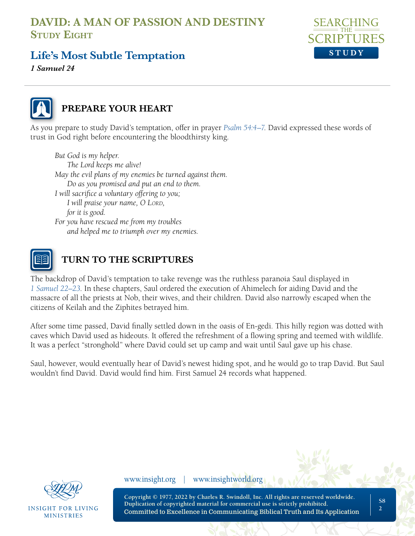

## **Life's Most Subtle Temptation**

*1 Samuel 24* 



## **PREPARE YOUR HEART**

As you prepare to study David's temptation, offer in prayer *[Psalm 54:4–7](https://www.biblegateway.com/passage/?search=Psalm%2054&version=NLT;NASB1995)*. David expressed these words of trust in God right before encountering the bloodthirsty king.

*But God is my helper. The Lord keeps me alive! May the evil plans of my enemies be turned against them. Do as you promised and put an end to them. I will sacrifice a voluntary offering to you; I will praise your name, O Lord, for it is good. For you have rescued me from my troubles and helped me to triumph over my enemies.*



## **TURN TO THE SCRIPTURES**

The backdrop of David's temptation to take revenge was the ruthless paranoia Saul displayed in *[1 Samuel 22–23](https://www.biblegateway.com/passage/?search=1+Samuel+22-23&version=NLT;NASB1995)*. In these chapters, Saul ordered the execution of Ahimelech for aiding David and the massacre of all the priests at Nob, their wives, and their children. David also narrowly escaped when the citizens of Keilah and the Ziphites betrayed him.

After some time passed, David finally settled down in the oasis of En-gedi. This hilly region was dotted with caves which David used as hideouts. It offered the refreshment of a flowing spring and teemed with wildlife. It was a perfect "stronghold" where David could set up camp and wait until Saul gave up his chase.

Saul, however, would eventually hear of David's newest hiding spot, and he would go to trap David. But Saul wouldn't find David. David would find him. First Samuel 24 records what happened.



INSIGHT FOR LIVING **MINISTRIES** 

www.insight.org | www.insightworld.org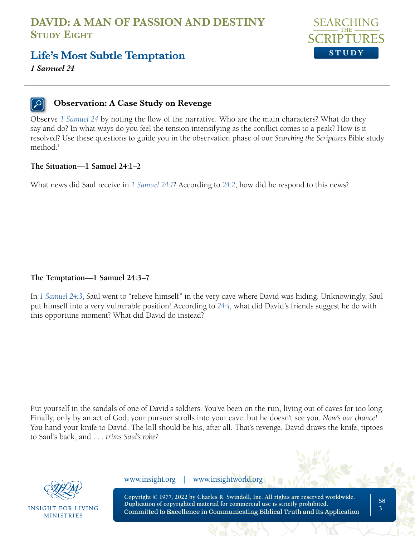



*1 Samuel 24* 

#### **Observation: A Case Study on Revenge**

Observe *[1 Samuel 24](https://www.biblegateway.com/passage/?search=1%20Samuel%2024%20&version=NLT;NASB1995)* by noting the flow of the narrative. Who are the main characters? What do they say and do? In what ways do you feel the tension intensifying as the conflict comes to a peak? How is it resolved? Use these questions to guide you in the observation phase of our *Searching the Scriptures* Bible study method.<sup>1</sup>

#### **The Situation—1 Samuel 24:1–2**

What news did Saul receive in *[1 Samuel 24:1](https://www.biblegateway.com/passage/?search=1+Samuel+24%3A1&version=NLT;NASB1995)*? According to *[24:2](https://www.biblegateway.com/passage/?search=1+Samuel+24%3A2&version=NLT;NASB1995)*, how did he respond to this news?

#### **The Temptation—1 Samuel 24:3–7**

In *[1 Samuel 24:3](https://www.biblegateway.com/passage/?search=1+Samuel+24%3A3&version=NLT;NASB1995)*, Saul went to "relieve himself" in the very cave where David was hiding. Unknowingly, Saul put himself into a very vulnerable position! According to *[24:4](https://www.biblegateway.com/passage/?search=1+Samuel+24%3A4&version=NLT;NASB1995)*, what did David's friends suggest he do with this opportune moment? What did David do instead?

Put yourself in the sandals of one of David's soldiers. You've been on the run, living out of caves for too long. Finally, only by an act of God, your pursuer strolls into your cave, but he doesn't see you. *Now's our chance!*  You hand your knife to David. The kill should be his, after all. That's revenge. David draws the knife, tiptoes to Saul's back, and . . . *trims Saul's robe?*



INSIGHT FOR LIVING **MINISTRIES** 

www.insight.org | www.insightworld.org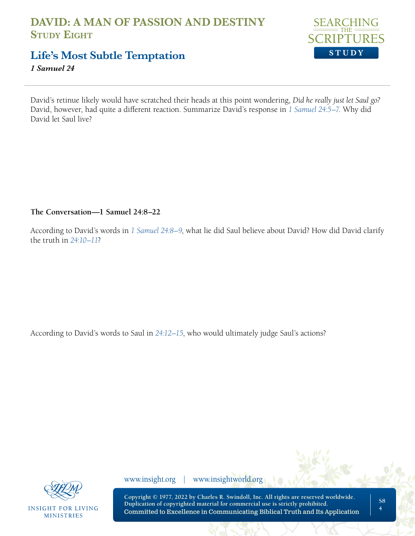

## **Life's Most Subtle Temptation**

*1 Samuel 24* 

David's retinue likely would have scratched their heads at this point wondering, *Did he really just let Saul go?* David, however, had quite a different reaction. Summarize David's response in *[1 Samuel 24:5–7](https://www.biblegateway.com/passage/?search=1+Samuel+24%3A5-7&version=NLT;NASB1995)*. Why did David let Saul live?

**The Conversation—1 Samuel 24:8–22**

According to David's words in *[1 Samuel 24:8–9](https://www.biblegateway.com/passage/?search=1+Samuel+24%3A8-9&version=NLT;NASB1995)*, what lie did Saul believe about David? How did David clarify the truth in *[24:10–11](https://www.biblegateway.com/passage/?search=1+Samuel+24%3A10%E2%80%9311&version=NLT;NASB1995)*?

According to David's words to Saul in *[24:12–15](https://www.biblegateway.com/passage/?search=1+Samuel+24%3A12%E2%80%9315&version=NLT;NASB1995)*, who would ultimately judge Saul's actions?



**INSIGHT FOR LIVING MINISTRIES** 

www.insight.org | www.insightworld.org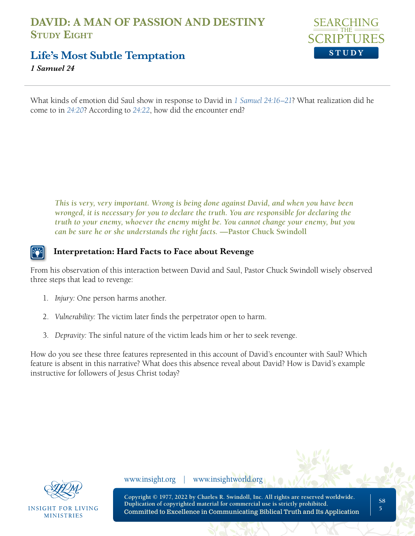

**Life's Most Subtle Temptation**

*1 Samuel 24* 

What kinds of emotion did Saul show in response to David in *[1 Samuel 24:16–21](https://www.biblegateway.com/passage/?search=1+Samuel+24%3A16%E2%80%9321&version=NLT;NASB1995)*? What realization did he come to in *[24:20](https://www.biblegateway.com/passage/?search=1+Samuel+24%3A20&version=NLT;NASB1995)*? According to *[24:22](https://www.biblegateway.com/passage/?search=1+Samuel+24%3A22&version=NLT;NASB1995)*, how did the encounter end?

*This is very, very important. Wrong is being done against David, and when you have been wronged, it is necessary for you to declare the truth. You are responsible for declaring the truth to your enemy, whoever the enemy might be. You cannot change your enemy, but you can be sure he or she understands the right facts.* **—Pastor Chuck Swindoll**

## **Interpretation: Hard Facts to Face about Revenge**

From his observation of this interaction between David and Saul, Pastor Chuck Swindoll wisely observed three steps that lead to revenge:

- 1. *Injury:* One person harms another.
- 2. *Vulnerability:* The victim later finds the perpetrator open to harm.
- 3. *Depravity:* The sinful nature of the victim leads him or her to seek revenge.

How do you see these three features represented in this account of David's encounter with Saul? Which feature is absent in this narrative? What does this absence reveal about David? How is David's example instructive for followers of Jesus Christ today?



**INSIGHT FOR LIVING MINISTRIES** 

www.insight.org | www.insightworld.org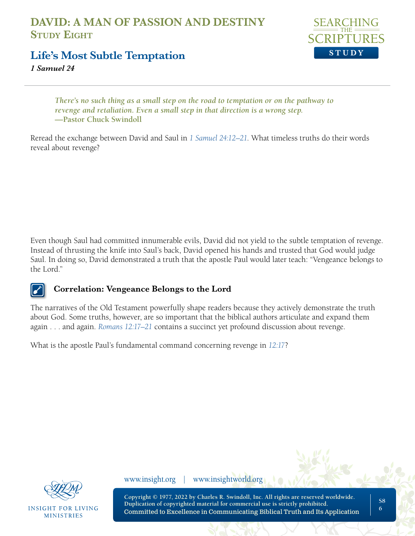

**Life's Most Subtle Temptation**

*1 Samuel 24* 

*There's no such thing as a small step on the road to temptation or on the pathway to revenge and retaliation. Even a small step in that direction is a wrong step.* **—Pastor Chuck Swindoll**

Reread the exchange between David and Saul in *[1 Samuel 24:12–21](https://www.biblegateway.com/passage/?search=1+Samuel+24%3A12%E2%80%9321&version=NLT;NASB1995)*. What timeless truths do their words reveal about revenge?

Even though Saul had committed innumerable evils, David did not yield to the subtle temptation of revenge. Instead of thrusting the knife into Saul's back, David opened his hands and trusted that God would judge Saul. In doing so, David demonstrated a truth that the apostle Paul would later teach: "Vengeance belongs to the Lord."

#### **Correlation: Vengeance Belongs to the Lord**

The narratives of the Old Testament powerfully shape readers because they actively demonstrate the truth about God. Some truths, however, are so important that the biblical authors articulate and expand them again . . . and again. *[Romans 12:17–21](https://www.biblegateway.com/passage/?search=Romans+12%3A17%E2%80%9321+&version=NLT;NASB1995)* contains a succinct yet profound discussion about revenge.

What is the apostle Paul's fundamental command concerning revenge in *[12:17](https://www.biblegateway.com/passage/?search=Romans+12%3A17&version=NLT;NASB1995)*?



**INSIGHT FOR LIVING MINISTRIES** 

www.insight.org | www.insightworld.org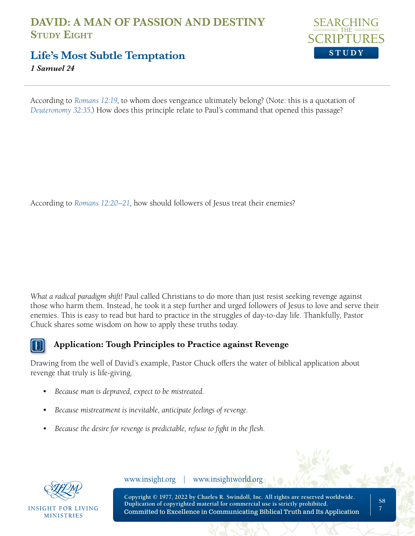

**Life's Most Subtle Temptation**

*1 Samuel 24* 

According to *[Romans 12:19](https://www.biblegateway.com/passage/?search=Romans+12%3A19&version=NLT;NASB1995)*, to whom does vengeance ultimately belong? (Note: this is a quotation of *[Deuteronomy 32:35](https://www.biblegateway.com/passage/?search=Deuteronomy+32%3A35&version=NLT;NASB1995)*.) How does this principle relate to Paul's command that opened this passage?

According to *[Romans 12:20–21](https://www.biblegateway.com/passage/?search=Romans+12%3A20%E2%80%9321&version=NLT;NASB1995)*, how should followers of Jesus treat their enemies?

*What a radical paradigm shift!* Paul called Christians to do more than just resist seeking revenge against those who harm them. Instead, he took it a step further and urged followers of Jesus to love and serve their enemies. This is easy to read but hard to practice in the struggles of day-to-day life. Thankfully, Pastor Chuck shares some wisdom on how to apply these truths today.



## **Application: Tough Principles to Practice against Revenge**

Drawing from the well of David's example, Pastor Chuck offers the water of biblical application about revenge that truly is life-giving.

- *Because man is depraved, expect to be mistreated.*
- *• Because mistreatment is inevitable, anticipate feelings of revenge.*
- *• Because the desire for revenge is predictable, refuse to fight in the flesh.*



INSIGHT FOR LIVING **MINISTRIES** 

www.insight.org | www.insightworld.org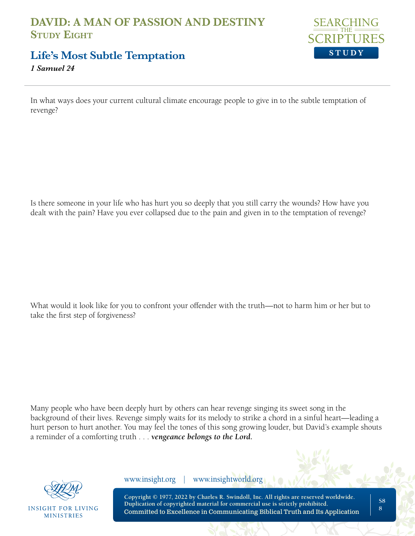

**Life's Most Subtle Temptation**

*1 Samuel 24* 

In what ways does your current cultural climate encourage people to give in to the subtle temptation of revenge?

Is there someone in your life who has hurt you so deeply that you still carry the wounds? How have you dealt with the pain? Have you ever collapsed due to the pain and given in to the temptation of revenge?

What would it look like for you to confront your offender with the truth—not to harm him or her but to take the first step of forgiveness?

Many people who have been deeply hurt by others can hear revenge singing its sweet song in the background of their lives. Revenge simply waits for its melody to strike a chord in a sinful heart—leading a hurt person to hurt another. You may feel the tones of this song growing louder, but David's example shouts a reminder of a comforting truth . . . *vengeance belongs to the Lord.*



**INSIGHT FOR LIVING MINISTRIES** 

www.insight.org | www.insightworld.org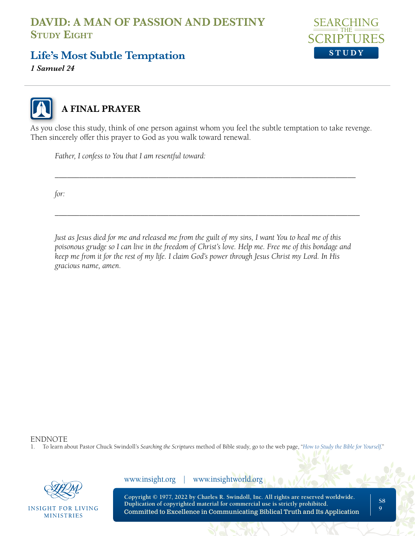

**Life's Most Subtle Temptation**

*1 Samuel 24* 



# **A FINAL PRAYER**

As you close this study, think of one person against whom you feel the subtle temptation to take revenge. Then sincerely offer this prayer to God as you walk toward renewal.

\_\_\_\_\_\_\_\_\_\_\_\_\_\_\_\_\_\_\_\_\_\_\_\_\_\_\_\_\_\_\_\_\_\_\_\_\_\_\_\_\_\_\_\_\_\_\_\_\_\_\_\_\_\_\_\_\_\_\_\_\_\_\_\_\_\_\_\_\_\_\_\_\_\_

\_\_\_\_\_\_\_\_\_\_\_\_\_\_\_\_\_\_\_\_\_\_\_\_\_\_\_\_\_\_\_\_\_\_\_\_\_\_\_\_\_\_\_\_\_\_\_\_\_\_\_\_\_\_\_\_\_\_\_\_\_\_\_\_\_\_\_\_\_\_\_\_\_\_\_

*Father, I confess to You that I am resentful toward:*

*for:* 

*Just as Jesus died for me and released me from the guilt of my sins, I want You to heal me of this poisonous grudge so I can live in the freedom of Christ's love. Help me. Free me of this bondage and keep me from it for the rest of my life. I claim God's power through Jesus Christ my Lord. In His gracious name, amen.*

ENDNOTE

1. To learn about Pastor Chuck Swindoll's *Searching the Scriptures* method of Bible study, go to the web page, "*[How to Study the Bible for Yourself](https://sts.insight.org/)*."



**INSIGHT FOR LIVING MINISTRIES** 

www.insight.org | www.insightworld.org